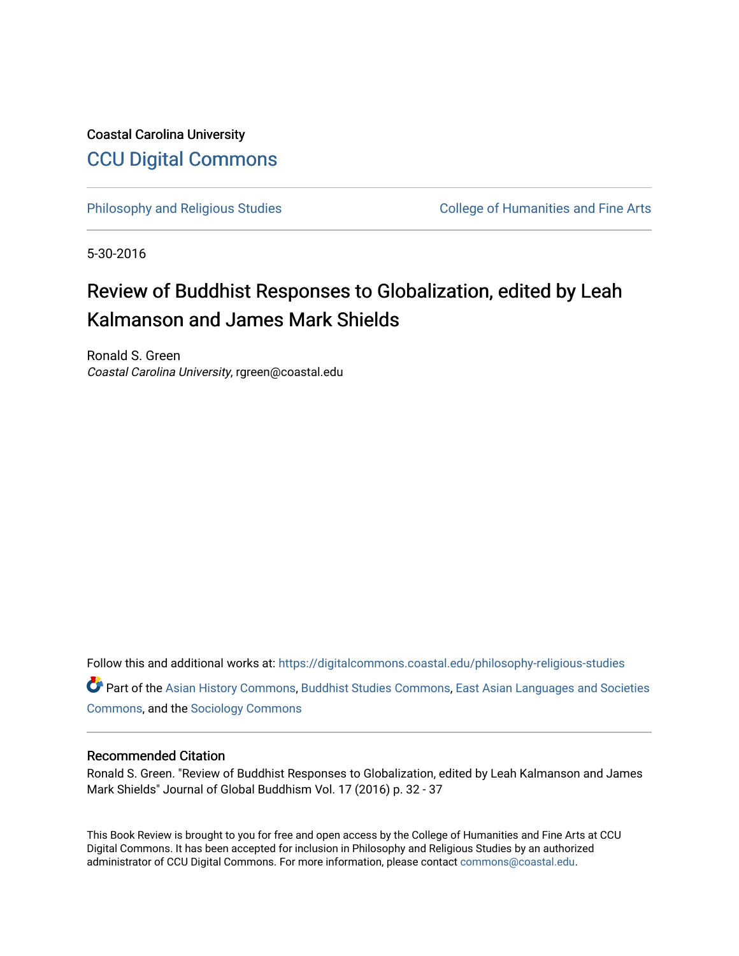Coastal Carolina University [CCU Digital Commons](https://digitalcommons.coastal.edu/) 

[Philosophy and Religious Studies](https://digitalcommons.coastal.edu/philosophy-religious-studies) College of Humanities and Fine Arts

5-30-2016

## Review of Buddhist Responses to Globalization, edited by Leah Kalmanson and James Mark Shields

Ronald S. Green Coastal Carolina University, rgreen@coastal.edu

Follow this and additional works at: [https://digitalcommons.coastal.edu/philosophy-religious-studies](https://digitalcommons.coastal.edu/philosophy-religious-studies?utm_source=digitalcommons.coastal.edu%2Fphilosophy-religious-studies%2F20&utm_medium=PDF&utm_campaign=PDFCoverPages) 

Part of the [Asian History Commons](http://network.bepress.com/hgg/discipline/491?utm_source=digitalcommons.coastal.edu%2Fphilosophy-religious-studies%2F20&utm_medium=PDF&utm_campaign=PDFCoverPages), [Buddhist Studies Commons](http://network.bepress.com/hgg/discipline/1344?utm_source=digitalcommons.coastal.edu%2Fphilosophy-religious-studies%2F20&utm_medium=PDF&utm_campaign=PDFCoverPages), [East Asian Languages and Societies](http://network.bepress.com/hgg/discipline/481?utm_source=digitalcommons.coastal.edu%2Fphilosophy-religious-studies%2F20&utm_medium=PDF&utm_campaign=PDFCoverPages)  [Commons](http://network.bepress.com/hgg/discipline/481?utm_source=digitalcommons.coastal.edu%2Fphilosophy-religious-studies%2F20&utm_medium=PDF&utm_campaign=PDFCoverPages), and the [Sociology Commons](http://network.bepress.com/hgg/discipline/416?utm_source=digitalcommons.coastal.edu%2Fphilosophy-religious-studies%2F20&utm_medium=PDF&utm_campaign=PDFCoverPages)

## Recommended Citation

Ronald S. Green. "Review of Buddhist Responses to Globalization, edited by Leah Kalmanson and James Mark Shields" Journal of Global Buddhism Vol. 17 (2016) p. 32 - 37

This Book Review is brought to you for free and open access by the College of Humanities and Fine Arts at CCU Digital Commons. It has been accepted for inclusion in Philosophy and Religious Studies by an authorized administrator of CCU Digital Commons. For more information, please contact [commons@coastal.edu.](mailto:commons@coastal.edu)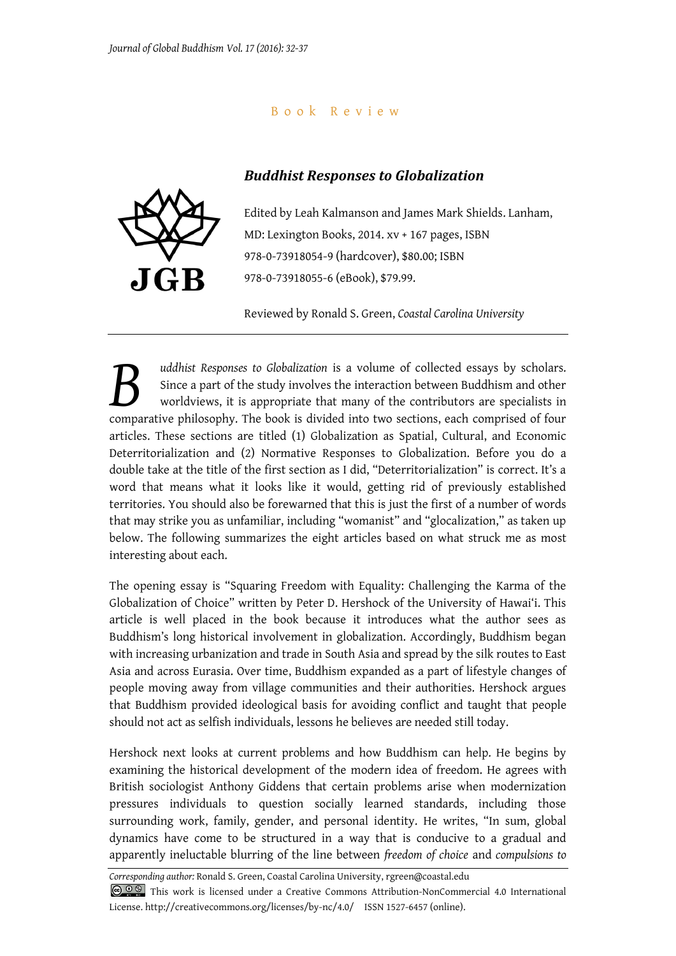## B o o k R e v i e w

## *Buddhist Responses to Globalization*



Edited by Leah Kalmanson and James Mark Shields. Lanham, MD: Lexington Books, 2014. xv + 167 pages, ISBN 978-0-73918054-9 (hardcover), \$80.00; ISBN 978-0-73918055-6 (eBook), \$79.99.

Reviewed by Ronald S. Green, *Coastal Carolina University*

*uddhist Responses to Globalization* is a volume of collected essays by scholars. Since a part of the study involves the interaction between Buddhism and other worldviews, it is appropriate that many of the contributors are specialists in and this tesponses to Globalization is a volume of collected essays by scholars.<br>Since a part of the study involves the interaction between Buddhism and other worldviews, it is appropriate that many of the contributors are articles. These sections are titled (1) Globalization as Spatial, Cultural, and Economic Deterritorialization and (2) Normative Responses to Globalization. Before you do a double take at the title of the first section as I did, "Deterritorialization" is correct. It's a word that means what it looks like it would, getting rid of previously established territories. You should also be forewarned that this is just the first of a number of words that may strike you as unfamiliar, including "womanist" and "glocalization," as taken up below. The following summarizes the eight articles based on what struck me as most interesting about each.

The opening essay is "Squaring Freedom with Equality: Challenging the Karma of the Globalization of Choice" written by Peter D. Hershock of the University of Hawai'i. This article is well placed in the book because it introduces what the author sees as Buddhism's long historical involvement in globalization. Accordingly, Buddhism began with increasing urbanization and trade in South Asia and spread by the silk routes to East Asia and across Eurasia. Over time, Buddhism expanded as a part of lifestyle changes of people moving away from village communities and their authorities. Hershock argues that Buddhism provided ideological basis for avoiding conflict and taught that people should not act as selfish individuals, lessons he believes are needed still today.

Hershock next looks at current problems and how Buddhism can help. He begins by examining the historical development of the modern idea of freedom. He agrees with British sociologist Anthony Giddens that certain problems arise when modernization pressures individuals to question socially learned standards, including those surrounding work, family, gender, and personal identity. He writes, "In sum, global dynamics have come to be structured in a way that is conducive to a gradual and apparently ineluctable blurring of the line between *freedom of choice* and *compulsions to* 

*Corresponding author:* Ronald S. Green, Coastal Carolina University, rgreen@coastal.edu COOS This work is licensed under a Creative Commons Attribution-NonCommercial 4.0 International License. http://creativecommons.org/licenses/by-nc/4.0/ ISSN 1527-6457 (online).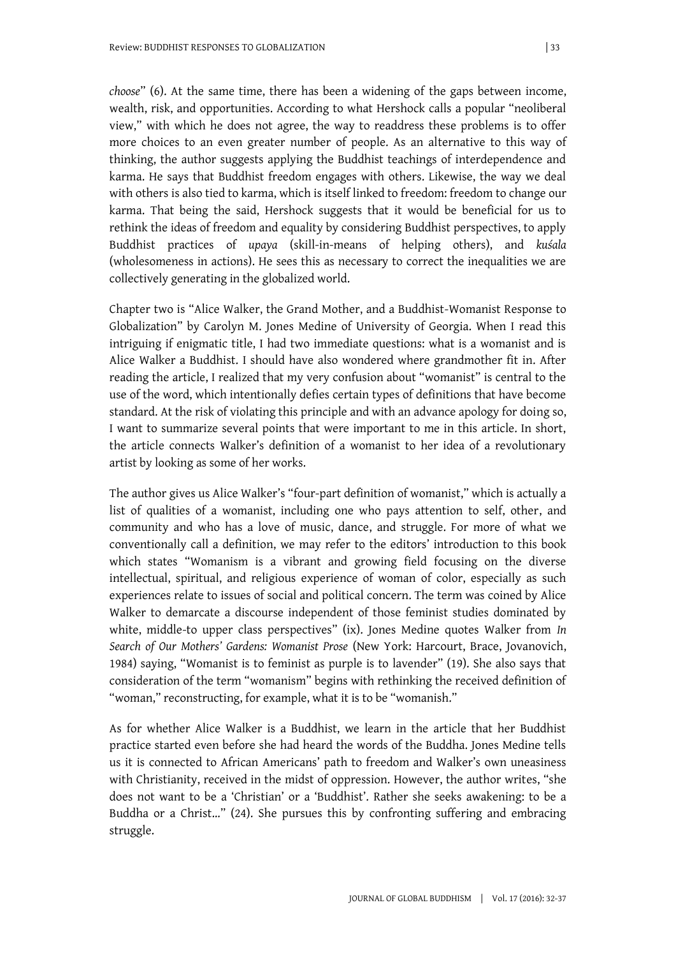*choose*" (6). At the same time, there has been a widening of the gaps between income, wealth, risk, and opportunities. According to what Hershock calls a popular "neoliberal view," with which he does not agree, the way to readdress these problems is to offer more choices to an even greater number of people. As an alternative to this way of thinking, the author suggests applying the Buddhist teachings of interdependence and karma. He says that Buddhist freedom engages with others. Likewise, the way we deal with others is also tied to karma, which is itself linked to freedom: freedom to change our karma. That being the said, Hershock suggests that it would be beneficial for us to rethink the ideas of freedom and equality by considering Buddhist perspectives, to apply Buddhist practices of *upaya* (skill-in-means of helping others), and *kuśala* (wholesomeness in actions). He sees this as necessary to correct the inequalities we are collectively generating in the globalized world.

Chapter two is "Alice Walker, the Grand Mother, and a Buddhist-Womanist Response to Globalization" by Carolyn M. Jones Medine of University of Georgia. When I read this intriguing if enigmatic title, I had two immediate questions: what is a womanist and is Alice Walker a Buddhist. I should have also wondered where grandmother fit in. After reading the article, I realized that my very confusion about "womanist" is central to the use of the word, which intentionally defies certain types of definitions that have become standard. At the risk of violating this principle and with an advance apology for doing so, I want to summarize several points that were important to me in this article. In short, the article connects Walker's definition of a womanist to her idea of a revolutionary artist by looking as some of her works.

The author gives us Alice Walker's "four-part definition of womanist," which is actually a list of qualities of a womanist, including one who pays attention to self, other, and community and who has a love of music, dance, and struggle. For more of what we conventionally call a definition, we may refer to the editors' introduction to this book which states "Womanism is a vibrant and growing field focusing on the diverse intellectual, spiritual, and religious experience of woman of color, especially as such experiences relate to issues of social and political concern. The term was coined by Alice Walker to demarcate a discourse independent of those feminist studies dominated by white, middle-to upper class perspectives" (ix). Jones Medine quotes Walker from *In Search of Our Mothers' Gardens: Womanist Prose* (New York: Harcourt, Brace, Jovanovich, 1984) saying, "Womanist is to feminist as purple is to lavender" (19). She also says that consideration of the term "womanism" begins with rethinking the received definition of "woman," reconstructing, for example, what it is to be "womanish."

As for whether Alice Walker is a Buddhist, we learn in the article that her Buddhist practice started even before she had heard the words of the Buddha. Jones Medine tells us it is connected to African Americans' path to freedom and Walker's own uneasiness with Christianity, received in the midst of oppression. However, the author writes, "she does not want to be a 'Christian' or a 'Buddhist'. Rather she seeks awakening: to be a Buddha or a Christ…" (24). She pursues this by confronting suffering and embracing struggle.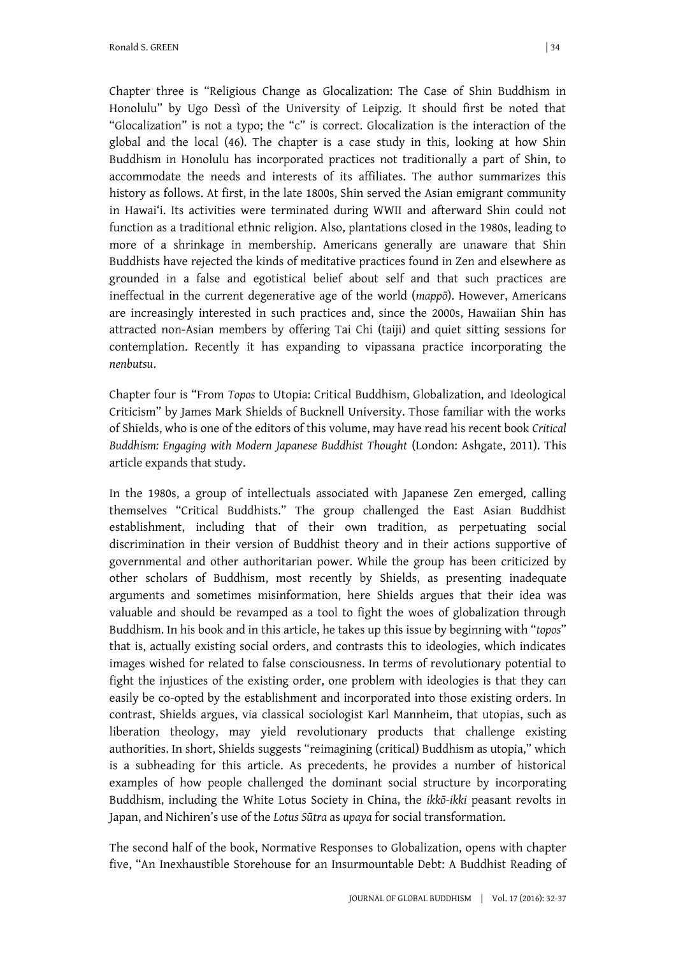Chapter three is "Religious Change as Glocalization: The Case of Shin Buddhism in Honolulu" by Ugo Dessì of the University of Leipzig. It should first be noted that "Glocalization" is not a typo; the "c" is correct. Glocalization is the interaction of the global and the local (46). The chapter is a case study in this, looking at how Shin Buddhism in Honolulu has incorporated practices not traditionally a part of Shin, to accommodate the needs and interests of its affiliates. The author summarizes this history as follows. At first, in the late 1800s, Shin served the Asian emigrant community in Hawai'i. Its activities were terminated during WWII and afterward Shin could not function as a traditional ethnic religion. Also, plantations closed in the 1980s, leading to more of a shrinkage in membership. Americans generally are unaware that Shin Buddhists have rejected the kinds of meditative practices found in Zen and elsewhere as grounded in a false and egotistical belief about self and that such practices are ineffectual in the current degenerative age of the world (*mappō*). However, Americans are increasingly interested in such practices and, since the 2000s, Hawaiian Shin has attracted non-Asian members by offering Tai Chi (taiji) and quiet sitting sessions for contemplation. Recently it has expanding to vipassana practice incorporating the *nenbutsu*.

Chapter four is "From *Topos* to Utopia: Critical Buddhism, Globalization, and Ideological Criticism" by James Mark Shields of Bucknell University. Those familiar with the works of Shields, who is one of the editors of this volume, may have read his recent book *Critical Buddhism: Engaging with Modern Japanese Buddhist Thought* (London: Ashgate, 2011). This article expands that study.

In the 1980s, a group of intellectuals associated with Japanese Zen emerged, calling themselves "Critical Buddhists." The group challenged the East Asian Buddhist establishment, including that of their own tradition, as perpetuating social discrimination in their version of Buddhist theory and in their actions supportive of governmental and other authoritarian power. While the group has been criticized by other scholars of Buddhism, most recently by Shields, as presenting inadequate arguments and sometimes misinformation, here Shields argues that their idea was valuable and should be revamped as a tool to fight the woes of globalization through Buddhism. In his book and in this article, he takes up this issue by beginning with "*topos*" that is, actually existing social orders, and contrasts this to ideologies, which indicates images wished for related to false consciousness. In terms of revolutionary potential to fight the injustices of the existing order, one problem with ideologies is that they can easily be co-opted by the establishment and incorporated into those existing orders. In contrast, Shields argues, via classical sociologist Karl Mannheim, that utopias, such as liberation theology, may yield revolutionary products that challenge existing authorities. In short, Shields suggests "reimagining (critical) Buddhism as utopia," which is a subheading for this article. As precedents, he provides a number of historical examples of how people challenged the dominant social structure by incorporating Buddhism, including the White Lotus Society in China, the *ikkō-ikki* peasant revolts in Japan, and Nichiren's use of the *Lotus Sūtra* as *upaya* for social transformation.

The second half of the book, Normative Responses to Globalization, opens with chapter five, "An Inexhaustible Storehouse for an Insurmountable Debt: A Buddhist Reading of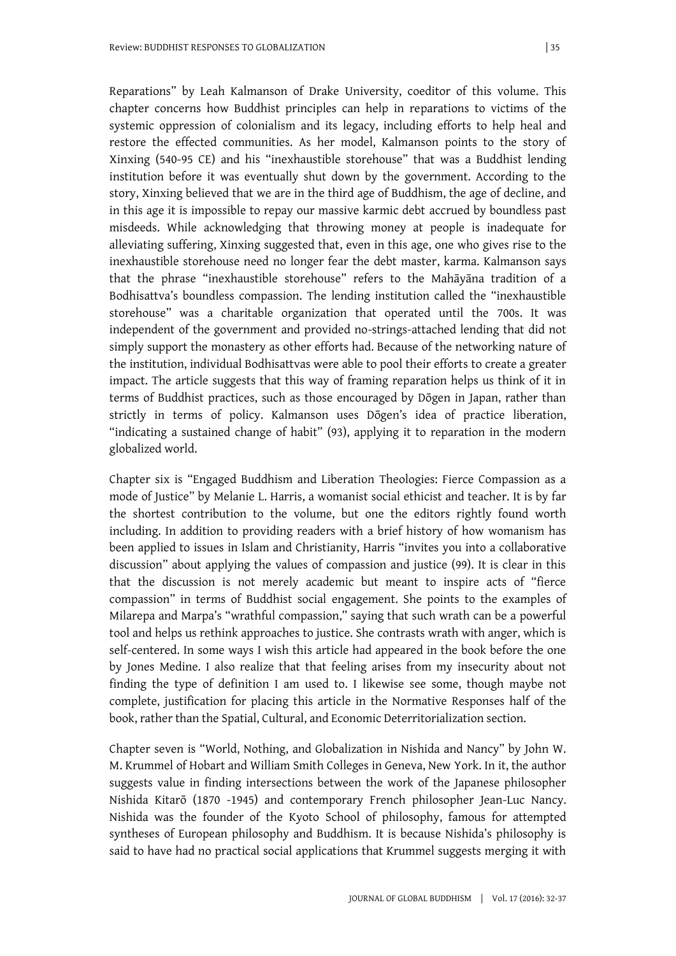Reparations" by Leah Kalmanson of Drake University, coeditor of this volume. This chapter concerns how Buddhist principles can help in reparations to victims of the systemic oppression of colonialism and its legacy, including efforts to help heal and restore the effected communities. As her model, Kalmanson points to the story of Xinxing (540-95 CE) and his "inexhaustible storehouse" that was a Buddhist lending institution before it was eventually shut down by the government. According to the story, Xinxing believed that we are in the third age of Buddhism, the age of decline, and in this age it is impossible to repay our massive karmic debt accrued by boundless past misdeeds. While acknowledging that throwing money at people is inadequate for alleviating suffering, Xinxing suggested that, even in this age, one who gives rise to the inexhaustible storehouse need no longer fear the debt master, karma. Kalmanson says that the phrase "inexhaustible storehouse" refers to the Mahāyāna tradition of a Bodhisattva's boundless compassion. The lending institution called the "inexhaustible storehouse" was a charitable organization that operated until the 700s. It was independent of the government and provided no-strings-attached lending that did not simply support the monastery as other efforts had. Because of the networking nature of the institution, individual Bodhisattvas were able to pool their efforts to create a greater impact. The article suggests that this way of framing reparation helps us think of it in terms of Buddhist practices, such as those encouraged by Dōgen in Japan, rather than strictly in terms of policy. Kalmanson uses Dōgen's idea of practice liberation, "indicating a sustained change of habit" (93), applying it to reparation in the modern globalized world.

Chapter six is "Engaged Buddhism and Liberation Theologies: Fierce Compassion as a mode of Justice" by Melanie L. Harris, a womanist social ethicist and teacher. It is by far the shortest contribution to the volume, but one the editors rightly found worth including. In addition to providing readers with a brief history of how womanism has been applied to issues in Islam and Christianity, Harris "invites you into a collaborative discussion" about applying the values of compassion and justice (99). It is clear in this that the discussion is not merely academic but meant to inspire acts of "fierce compassion" in terms of Buddhist social engagement. She points to the examples of Milarepa and Marpa's "wrathful compassion," saying that such wrath can be a powerful tool and helps us rethink approaches to justice. She contrasts wrath with anger, which is self-centered. In some ways I wish this article had appeared in the book before the one by Jones Medine. I also realize that that feeling arises from my insecurity about not finding the type of definition I am used to. I likewise see some, though maybe not complete, justification for placing this article in the Normative Responses half of the book, rather than the Spatial, Cultural, and Economic Deterritorialization section.

Chapter seven is "World, Nothing, and Globalization in Nishida and Nancy" by John W. M. Krummel of Hobart and William Smith Colleges in Geneva, New York. In it, the author suggests value in finding intersections between the work of the Japanese philosopher Nishida Kitarō (1870 -1945) and contemporary French philosopher Jean-Luc Nancy. Nishida was the founder of the Kyoto School of philosophy, famous for attempted syntheses of European philosophy and Buddhism. It is because Nishida's philosophy is said to have had no practical social applications that Krummel suggests merging it with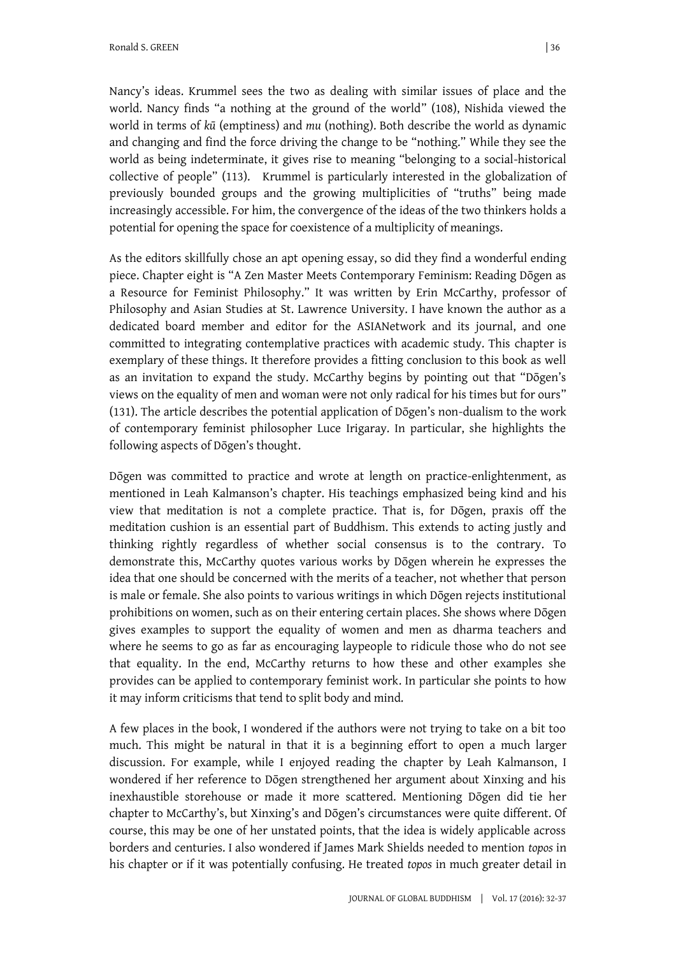Ronald S. GREEN | 36

Nancy's ideas. Krummel sees the two as dealing with similar issues of place and the world. Nancy finds "a nothing at the ground of the world" (108), Nishida viewed the world in terms of *kū* (emptiness) and *mu* (nothing). Both describe the world as dynamic and changing and find the force driving the change to be "nothing." While they see the world as being indeterminate, it gives rise to meaning "belonging to a social-historical collective of people" (113). Krummel is particularly interested in the globalization of previously bounded groups and the growing multiplicities of "truths" being made increasingly accessible. For him, the convergence of the ideas of the two thinkers holds a potential for opening the space for coexistence of a multiplicity of meanings.

As the editors skillfully chose an apt opening essay, so did they find a wonderful ending piece. Chapter eight is "A Zen Master Meets Contemporary Feminism: Reading Dōgen as a Resource for Feminist Philosophy." It was written by Erin McCarthy, professor of Philosophy and Asian Studies at St. Lawrence University. I have known the author as a dedicated board member and editor for the ASIANetwork and its journal, and one committed to integrating contemplative practices with academic study. This chapter is exemplary of these things. It therefore provides a fitting conclusion to this book as well as an invitation to expand the study. McCarthy begins by pointing out that "Dōgen's views on the equality of men and woman were not only radical for his times but for ours" (131). The article describes the potential application of Dōgen's non-dualism to the work of contemporary feminist philosopher Luce Irigaray. In particular, she highlights the following aspects of Dōgen's thought.

Dōgen was committed to practice and wrote at length on practice-enlightenment, as mentioned in Leah Kalmanson's chapter. His teachings emphasized being kind and his view that meditation is not a complete practice. That is, for Dōgen, praxis off the meditation cushion is an essential part of Buddhism. This extends to acting justly and thinking rightly regardless of whether social consensus is to the contrary. To demonstrate this, McCarthy quotes various works by Dōgen wherein he expresses the idea that one should be concerned with the merits of a teacher, not whether that person is male or female. She also points to various writings in which Dōgen rejects institutional prohibitions on women, such as on their entering certain places. She shows where Dōgen gives examples to support the equality of women and men as dharma teachers and where he seems to go as far as encouraging laypeople to ridicule those who do not see that equality. In the end, McCarthy returns to how these and other examples she provides can be applied to contemporary feminist work. In particular she points to how it may inform criticisms that tend to split body and mind.

A few places in the book, I wondered if the authors were not trying to take on a bit too much. This might be natural in that it is a beginning effort to open a much larger discussion. For example, while I enjoyed reading the chapter by Leah Kalmanson, I wondered if her reference to Dōgen strengthened her argument about Xinxing and his inexhaustible storehouse or made it more scattered. Mentioning Dōgen did tie her chapter to McCarthy's, but Xinxing's and Dōgen's circumstances were quite different. Of course, this may be one of her unstated points, that the idea is widely applicable across borders and centuries. I also wondered if James Mark Shields needed to mention *topos* in his chapter or if it was potentially confusing. He treated *topos* in much greater detail in